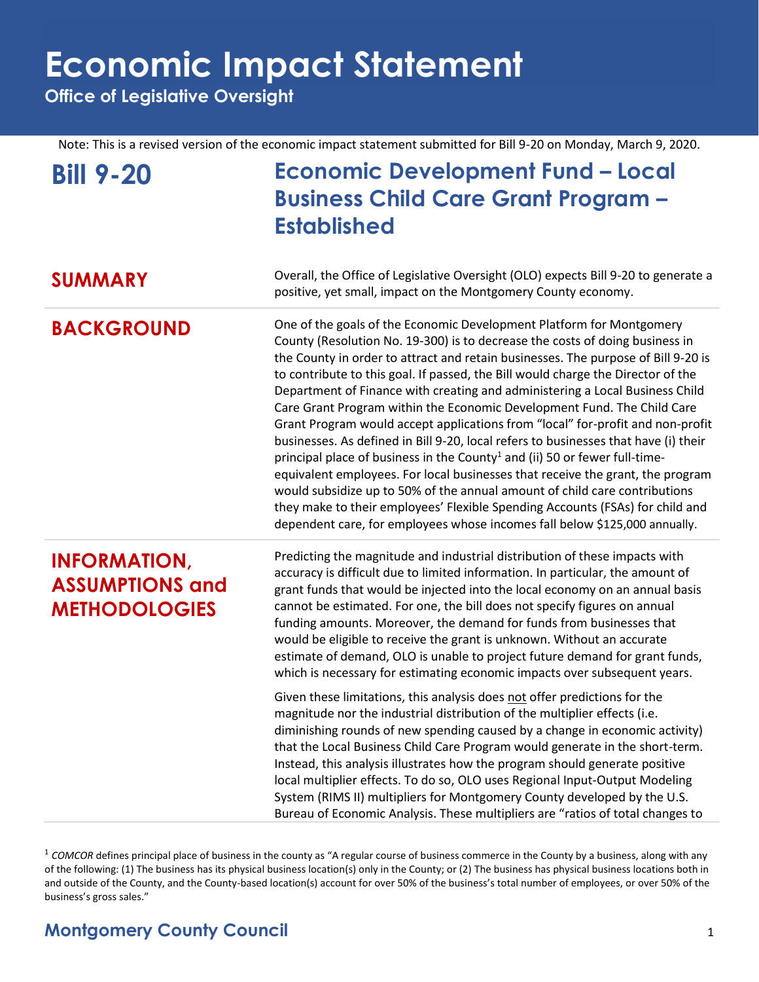**Office of Legislative Oversight**

Note: This is a revised version of the economic impact statement submitted for Bill 9-20 on Monday, March 9, 2020.

| <b>Bill 9-20</b>                                                      | <b>Economic Development Fund - Local</b><br><b>Business Child Care Grant Program -</b><br><b>Established</b>                                                                                                                                                                                                                                                                                                                                                                                                                                                                                                                                                                                                                                                                                                                                                                                                                                                                                                                                                                               |
|-----------------------------------------------------------------------|--------------------------------------------------------------------------------------------------------------------------------------------------------------------------------------------------------------------------------------------------------------------------------------------------------------------------------------------------------------------------------------------------------------------------------------------------------------------------------------------------------------------------------------------------------------------------------------------------------------------------------------------------------------------------------------------------------------------------------------------------------------------------------------------------------------------------------------------------------------------------------------------------------------------------------------------------------------------------------------------------------------------------------------------------------------------------------------------|
| <b>SUMMARY</b>                                                        | Overall, the Office of Legislative Oversight (OLO) expects Bill 9-20 to generate a<br>positive, yet small, impact on the Montgomery County economy.                                                                                                                                                                                                                                                                                                                                                                                                                                                                                                                                                                                                                                                                                                                                                                                                                                                                                                                                        |
| <b>BACKGROUND</b>                                                     | One of the goals of the Economic Development Platform for Montgomery<br>County (Resolution No. 19-300) is to decrease the costs of doing business in<br>the County in order to attract and retain businesses. The purpose of Bill 9-20 is<br>to contribute to this goal. If passed, the Bill would charge the Director of the<br>Department of Finance with creating and administering a Local Business Child<br>Care Grant Program within the Economic Development Fund. The Child Care<br>Grant Program would accept applications from "local" for-profit and non-profit<br>businesses. As defined in Bill 9-20, local refers to businesses that have (i) their<br>principal place of business in the County <sup>1</sup> and (ii) 50 or fewer full-time-<br>equivalent employees. For local businesses that receive the grant, the program<br>would subsidize up to 50% of the annual amount of child care contributions<br>they make to their employees' Flexible Spending Accounts (FSAs) for child and<br>dependent care, for employees whose incomes fall below \$125,000 annually. |
| <b>INFORMATION,</b><br><b>ASSUMPTIONS and</b><br><b>METHODOLOGIES</b> | Predicting the magnitude and industrial distribution of these impacts with<br>accuracy is difficult due to limited information. In particular, the amount of<br>grant funds that would be injected into the local economy on an annual basis<br>cannot be estimated. For one, the bill does not specify figures on annual<br>funding amounts. Moreover, the demand for funds from businesses that<br>would be eligible to receive the grant is unknown. Without an accurate<br>estimate of demand, OLO is unable to project future demand for grant funds,<br>which is necessary for estimating economic impacts over subsequent years.                                                                                                                                                                                                                                                                                                                                                                                                                                                    |
|                                                                       | Given these limitations, this analysis does not offer predictions for the<br>magnitude nor the industrial distribution of the multiplier effects (i.e.<br>diminishing rounds of new spending caused by a change in economic activity)<br>that the Local Business Child Care Program would generate in the short-term.<br>Instead, this analysis illustrates how the program should generate positive<br>local multiplier effects. To do so, OLO uses Regional Input-Output Modeling<br>System (RIMS II) multipliers for Montgomery County developed by the U.S.<br>Bureau of Economic Analysis. These multipliers are "ratios of total changes to                                                                                                                                                                                                                                                                                                                                                                                                                                          |

<sup>&</sup>lt;sup>1</sup> COMCOR defines principal place of business in the county as "A regular course of business commerce in the County by a business, along with any of the following: (1) The business has its physical business location(s) only in the County; or (2) The business has physical business locations both in and outside of the County, and the County-based location(s) account for over 50% of the business's total number of employees, or over 50% of the business's gross sales."

### **Montgomery County Council** 1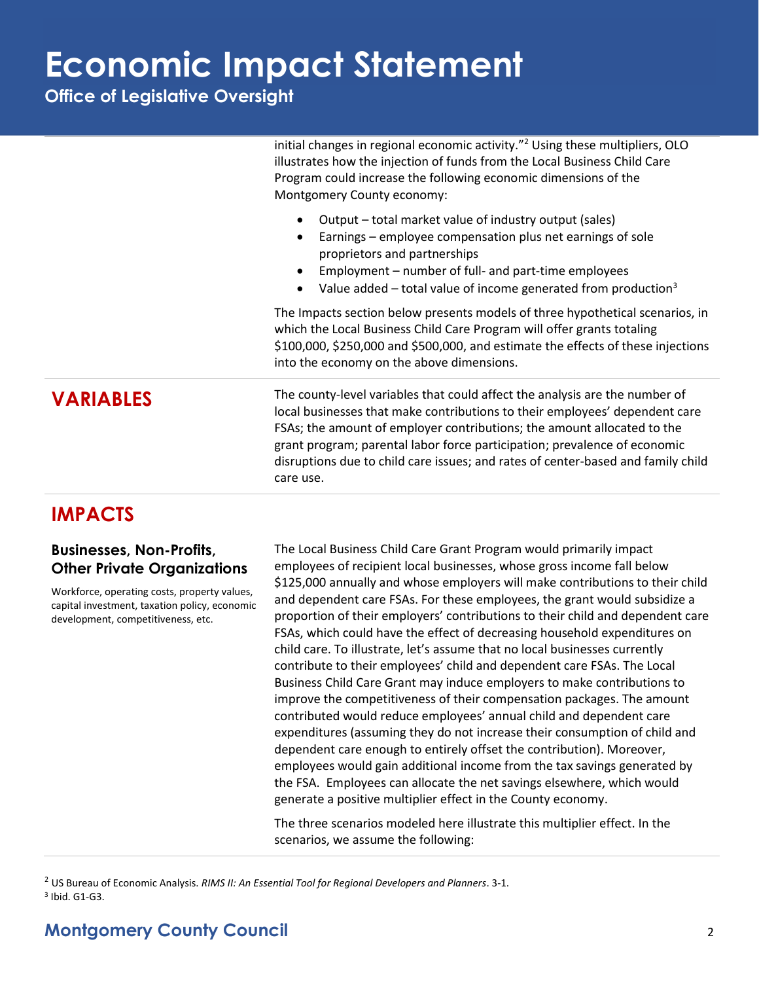**Office of Legislative Oversight**

initial changes in regional economic activity."<sup>2</sup> Using these multipliers, OLO illustrates how the injection of funds from the Local Business Child Care Program could increase the following economic dimensions of the Montgomery County economy:

- Output total market value of industry output (sales)
- Earnings employee compensation plus net earnings of sole proprietors and partnerships
- Employment number of full- and part-time employees
- Value added total value of income generated from production<sup>3</sup>

The Impacts section below presents models of three hypothetical scenarios, in which the Local Business Child Care Program will offer grants totaling \$100,000, \$250,000 and \$500,000, and estimate the effects of these injections into the economy on the above dimensions.

**VARIABLES** The county-level variables that could affect the analysis are the number of local businesses that make contributions to their employees' dependent care FSAs; the amount of employer contributions; the amount allocated to the grant program; parental labor force participation; prevalence of economic disruptions due to child care issues; and rates of center-based and family child care use.

### **IMPACTS**

#### **Businesses, Non-Profits, Other Private Organizations**

Workforce, operating costs, property values, capital investment, taxation policy, economic development, competitiveness, etc.

The Local Business Child Care Grant Program would primarily impact employees of recipient local businesses, whose gross income fall below \$125,000 annually and whose employers will make contributions to their child and dependent care FSAs. For these employees, the grant would subsidize a proportion of their employers' contributions to their child and dependent care FSAs, which could have the effect of decreasing household expenditures on child care. To illustrate, let's assume that no local businesses currently contribute to their employees' child and dependent care FSAs. The Local Business Child Care Grant may induce employers to make contributions to improve the competitiveness of their compensation packages. The amount contributed would reduce employees' annual child and dependent care expenditures (assuming they do not increase their consumption of child and dependent care enough to entirely offset the contribution). Moreover, employees would gain additional income from the tax savings generated by the FSA. Employees can allocate the net savings elsewhere, which would generate a positive multiplier effect in the County economy.

The three scenarios modeled here illustrate this multiplier effect. In the scenarios, we assume the following:

<sup>2</sup> US Bureau of Economic Analysis. *RIMS II: An Essential Tool for Regional Developers and Planners*. 3-1. 3 Ibid. G1-G3.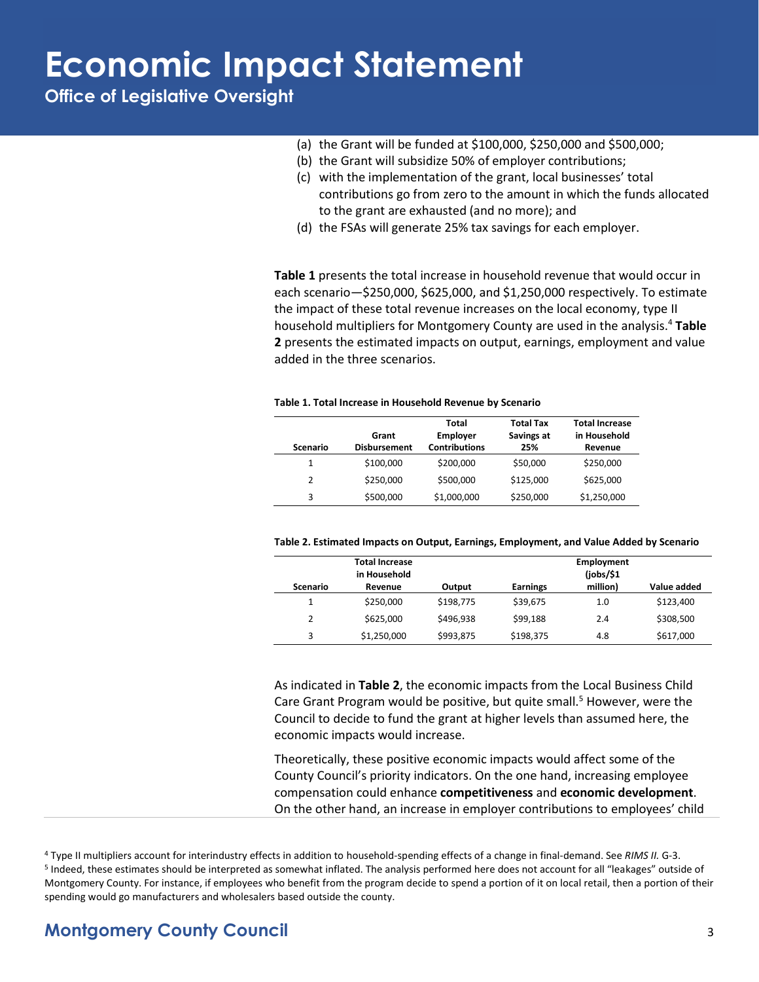**Office of Legislative Oversight**

- (a) the Grant will be funded at \$100,000, \$250,000 and \$500,000;
- (b) the Grant will subsidize 50% of employer contributions;
- (c) with the implementation of the grant, local businesses' total contributions go from zero to the amount in which the funds allocated to the grant are exhausted (and no more); and
- (d) the FSAs will generate 25% tax savings for each employer.

**Table 1** presents the total increase in household revenue that would occur in each scenario—\$250,000, \$625,000, and \$1,250,000 respectively. To estimate the impact of these total revenue increases on the local economy, type II household multipliers for Montgomery County are used in the analysis.<sup>4</sup> **Table 2** presents the estimated impacts on output, earnings, employment and value added in the three scenarios.

#### **Table 1. Total Increase in Household Revenue by Scenario**

| Scenario      | Grant<br><b>Disbursement</b> | Total<br><b>Employer</b><br><b>Contributions</b> | <b>Total Tax</b><br>Savings at<br>25% | <b>Total Increase</b><br>in Household<br>Revenue |
|---------------|------------------------------|--------------------------------------------------|---------------------------------------|--------------------------------------------------|
| 1             | \$100,000                    | \$200,000                                        | \$50,000                              | \$250,000                                        |
| $\mathcal{P}$ | \$250,000                    | \$500,000                                        | \$125,000                             | \$625,000                                        |
| 3             | \$500,000                    | \$1,000,000                                      | \$250,000                             | \$1,250,000                                      |

|  | Table 2. Estimated Impacts on Output, Earnings, Employment, and Value Added by Scenario |  |
|--|-----------------------------------------------------------------------------------------|--|
|--|-----------------------------------------------------------------------------------------|--|

| <b>Total Increase</b><br>in Household |             | <b>Employment</b><br>(jobs/\$1) |                 |          |             |
|---------------------------------------|-------------|---------------------------------|-----------------|----------|-------------|
| Scenario                              | Revenue     | Output                          | <b>Earnings</b> | million) | Value added |
| 1                                     | \$250,000   | \$198,775                       | \$39,675        | 1.0      | \$123,400   |
| 2                                     | \$625,000   | \$496.938                       | \$99,188        | 2.4      | \$308,500   |
| 3                                     | \$1,250,000 | \$993,875                       | \$198,375       | 4.8      | \$617,000   |

As indicated in **Table 2**, the economic impacts from the Local Business Child Care Grant Program would be positive, but quite small.<sup>5</sup> However, were the Council to decide to fund the grant at higher levels than assumed here, the economic impacts would increase.

Theoretically, these positive economic impacts would affect some of the County Council's priority indicators. On the one hand, increasing employee compensation could enhance **competitiveness** and **economic development**. On the other hand, an increase in employer contributions to employees' child

### **Montgomery County Council** 3

<sup>4</sup> Type II multipliers account for interindustry effects in addition to household-spending effects of a change in final-demand. See *RIMS II.* G-3. <sup>5</sup> Indeed, these estimates should be interpreted as somewhat inflated. The analysis performed here does not account for all "leakages" outside of Montgomery County. For instance, if employees who benefit from the program decide to spend a portion of it on local retail, then a portion of their spending would go manufacturers and wholesalers based outside the county.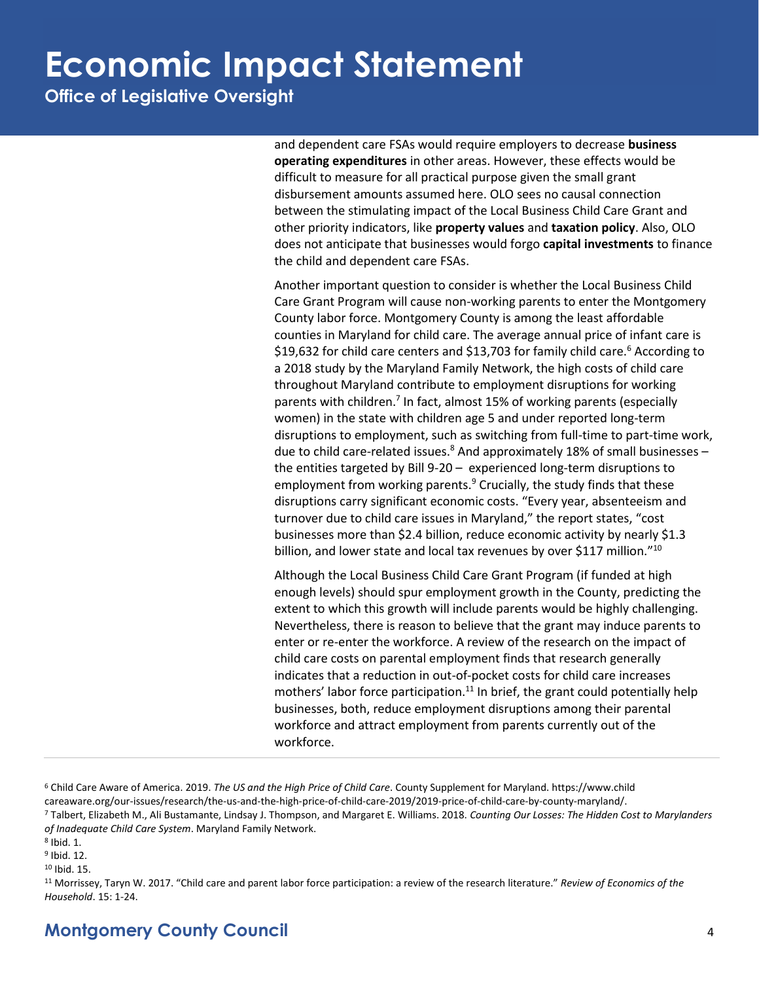**Office of Legislative Oversight**

and dependent care FSAs would require employers to decrease **business operating expenditures** in other areas. However, these effects would be difficult to measure for all practical purpose given the small grant disbursement amounts assumed here. OLO sees no causal connection between the stimulating impact of the Local Business Child Care Grant and other priority indicators, like **property values** and **taxation policy**. Also, OLO does not anticipate that businesses would forgo **capital investments** to finance the child and dependent care FSAs.

Another important question to consider is whether the Local Business Child Care Grant Program will cause non-working parents to enter the Montgomery County labor force. Montgomery County is among the least affordable counties in Maryland for child care. The average annual price of infant care is \$19,632 for child care centers and \$13,703 for family child care.<sup>6</sup> According to a 2018 study by the Maryland Family Network, the high costs of child care throughout Maryland contribute to employment disruptions for working parents with children.<sup>7</sup> In fact, almost 15% of working parents (especially women) in the state with children age 5 and under reported long-term disruptions to employment, such as switching from full-time to part-time work, due to child care-related issues. $8$  And approximately 18% of small businesses – the entities targeted by Bill 9-20 – experienced long-term disruptions to employment from working parents.<sup>9</sup> Crucially, the study finds that these disruptions carry significant economic costs. "Every year, absenteeism and turnover due to child care issues in Maryland," the report states, "cost businesses more than \$2.4 billion, reduce economic activity by nearly \$1.3 billion, and lower state and local tax revenues by over \$117 million."<sup>10</sup>

Although the Local Business Child Care Grant Program (if funded at high enough levels) should spur employment growth in the County, predicting the extent to which this growth will include parents would be highly challenging. Nevertheless, there is reason to believe that the grant may induce parents to enter or re-enter the workforce. A review of the research on the impact of child care costs on parental employment finds that research generally indicates that a reduction in out-of-pocket costs for child care increases mothers' labor force participation.<sup>11</sup> In brief, the grant could potentially help businesses, both, reduce employment disruptions among their parental workforce and attract employment from parents currently out of the workforce.

<sup>6</sup> Child Care Aware of America. 2019. *The US and the High Price of Child Care*. County Supplement for Maryland. https://www.child careaware.org/our-issues/research/the-us-and-the-high-price-of-child-care-2019/2019-price-of-child-care-by-county-maryland/. <sup>7</sup> Talbert, Elizabeth M., Ali Bustamante, Lindsay J. Thompson, and Margaret E. Williams. 2018. *Counting Our Losses: The Hidden Cost to Marylanders of Inadequate Child Care System*. Maryland Family Network.

8 Ibid. 1.

<sup>9</sup> Ibid. 12.

<sup>10</sup> Ibid. 15.

<sup>11</sup> Morrissey, Taryn W. 2017. "Child care and parent labor force participation: a review of the research literature." *Review of Economics of the Household*. 15: 1-24.